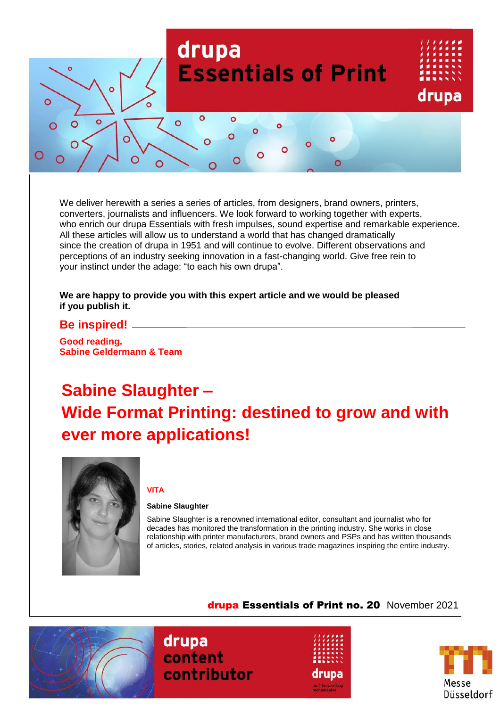

We deliver herewith a series a series of articles, from designers, brand owners, printers, converters, journalists and influencers. We look forward to working together with experts, who enrich our drupa Essentials with fresh impulses, sound expertise and remarkable experience. All these articles will allow us to understand a world that has changed dramatically since the creation of drupa in 1951 and will continue to evolve. Different observations and perceptions of an industry seeking innovation in a fast-changing world. Give free rein to your instinct under the adage: "to each his own drupa".

#### **We are happy to provide you with this expert article and we would be pleased if you publish it.**

### **Be inspired!**

**Good reading. Sabine Geldermann & Team**

# **Sabine Slaughter – Wide Format Printing: destined to grow and with ever more applications!**



#### **VITA**

#### **Sabine Slaughter**

Sabine Slaughter is a renowned international editor, consultant and journalist who for decades has monitored the transformation in the printing industry. She works in close relationship with printer manufacturers, brand owners and PSPs and has written thousands of articles, stories, related analysis in various trade magazines inspiring the entire industry.

drupa Essentials of Print no. 20 November 2021



drupa content contributor



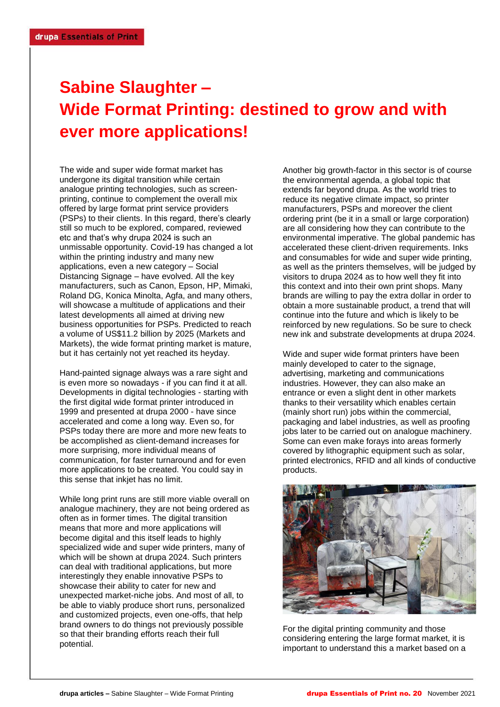## **Sabine Slaughter – Wide Format Printing: destined to grow and with ever more applications!**

The wide and super wide format market has undergone its digital transition while certain analogue printing technologies, such as screenprinting, continue to complement the overall mix offered by large format print service providers (PSPs) to their clients. In this regard, there's clearly still so much to be explored, compared, reviewed etc and that's why drupa 2024 is such an unmissable opportunity. Covid-19 has changed a lot within the printing industry and many new applications, even a new category – Social Distancing Signage – have evolved. All the key manufacturers, such as Canon, Epson, HP, Mimaki, Roland DG, Konica Minolta, Agfa, and many others, will showcase a multitude of applications and their latest developments all aimed at driving new business opportunities for PSPs. Predicted to reach a volume of US\$11.2 billion by 2025 (Markets and Markets), the wide format printing market is mature, but it has certainly not yet reached its heyday.

Hand-painted signage always was a rare sight and is even more so nowadays - if you can find it at all. Developments in digital technologies - starting with the first digital wide format printer introduced in 1999 and presented at drupa 2000 - have since accelerated and come a long way. Even so, for PSPs today there are more and more new feats to be accomplished as client-demand increases for more surprising, more individual means of communication, for faster turnaround and for even more applications to be created. You could say in this sense that inkjet has no limit.

While long print runs are still more viable overall on analogue machinery, they are not being ordered as often as in former times. The digital transition means that more and more applications will become digital and this itself leads to highly specialized wide and super wide printers, many of which will be shown at drupa 2024. Such printers can deal with traditional applications, but more interestingly they enable innovative PSPs to showcase their ability to cater for new and unexpected market-niche jobs. And most of all, to be able to viably produce short runs, personalized and customized projects, even one-offs, that help brand owners to do things not previously possible so that their branding efforts reach their full potential.

Another big growth-factor in this sector is of course the environmental agenda, a global topic that extends far beyond drupa. As the world tries to reduce its negative climate impact, so printer manufacturers, PSPs and moreover the client ordering print (be it in a small or large corporation) are all considering how they can contribute to the environmental imperative. The global pandemic has accelerated these client-driven requirements. Inks and consumables for wide and super wide printing, as well as the printers themselves, will be judged by visitors to drupa 2024 as to how well they fit into this context and into their own print shops. Many brands are willing to pay the extra dollar in order to obtain a more sustainable product, a trend that will continue into the future and which is likely to be reinforced by new regulations. So be sure to check new ink and substrate developments at drupa 2024.

Wide and super wide format printers have been mainly developed to cater to the signage, advertising, marketing and communications industries. However, they can also make an entrance or even a slight dent in other markets thanks to their versatility which enables certain (mainly short run) jobs within the commercial, packaging and label industries, as well as proofing jobs later to be carried out on analogue machinery. Some can even make forays into areas formerly covered by lithographic equipment such as solar, printed electronics, RFID and all kinds of conductive products.



For the digital printing community and those considering entering the large format market, it is important to understand this a market based on a